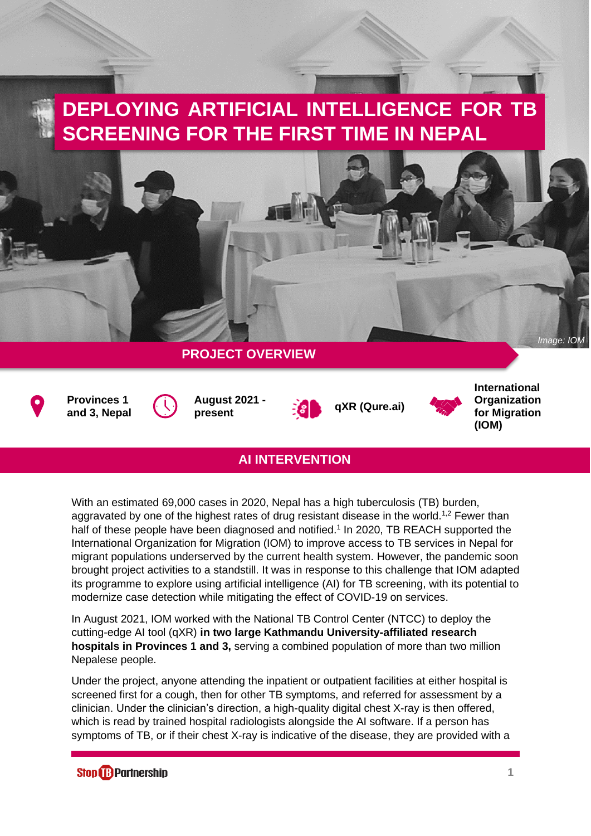## **DEPLOYING ARTIFICIAL INTELLIGENCE FOR TB SCREENING FOR THE FIRST TIME IN NEPAL**



## **AI INTERVENTION**

With an estimated 69,000 cases in 2020, Nepal has a high tuberculosis (TB) burden, aggravated by one of the highest rates of drug resistant disease in the world.<sup>1,2</sup> Fewer than half of these people have been diagnosed and notified.<sup>1</sup> In 2020, TB REACH supported the International Organization for Migration (IOM) to improve access to TB services in Nepal for migrant populations underserved by the current health system. However, the pandemic soon brought project activities to a standstill. It was in response to this challenge that IOM adapted its programme to explore using artificial intelligence (AI) for TB screening, with its potential to modernize case detection while mitigating the effect of COVID-19 on services.

In August 2021, IOM worked with the National TB Control Center (NTCC) to deploy the cutting-edge AI tool (qXR) **in two large Kathmandu University-affiliated research hospitals in Provinces 1 and 3,** serving a combined population of more than two million Nepalese people.

Under the project, anyone attending the inpatient or outpatient facilities at either hospital is screened first for a cough, then for other TB symptoms, and referred for assessment by a clinician. Under the clinician's direction, a high-quality digital chest X-ray is then offered, which is read by trained hospital radiologists alongside the AI software. If a person has symptoms of TB, or if their chest X-ray is indicative of the disease, they are provided with a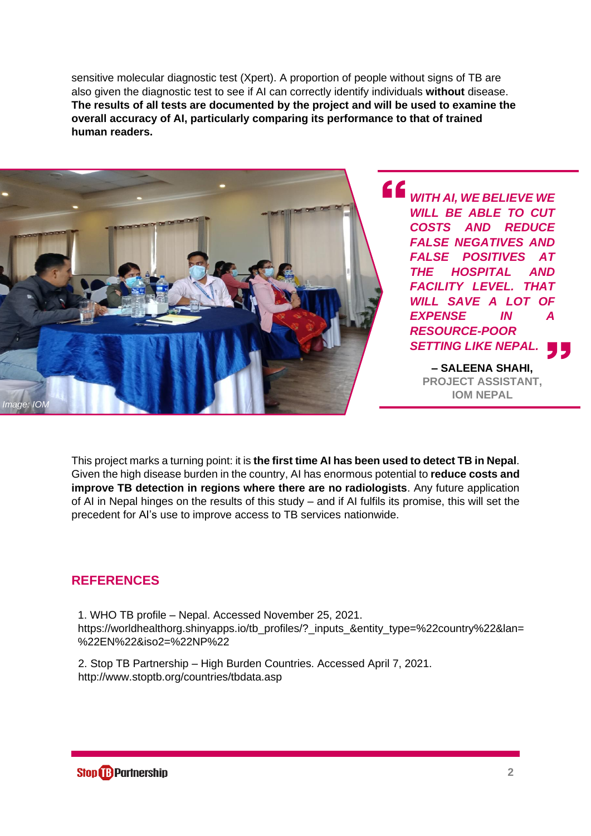sensitive molecular diagnostic test (Xpert). A proportion of people without signs of TB are also given the diagnostic test to see if AI can correctly identify individuals **without** disease. **The results of all tests are documented by the project and will be used to examine the overall accuracy of AI, particularly comparing its performance to that of trained human readers.**



*WITH AI, WE BELIEVE WE WILL BE ABLE TO CUT COSTS AND REDUCE FALSE NEGATIVES AND FALSE POSITIVES AT THE HOSPITAL AND FACILITY LEVEL. THAT*  **WILL SAVE A LOT OF** *EXPENSE IN A RESOURCE-POOR SETTING LIKE NEPAL.*

> **– SALEENA SHAHI, PROJECT ASSISTANT, IOM NEPAL**

This project marks a turning point: it is **the first time AI has been used to detect TB in Nepal**. Given the high disease burden in the country, AI has enormous potential to **reduce costs and improve TB detection in regions where there are no radiologists**. Any future application of AI in Nepal hinges on the results of this study – and if AI fulfils its promise, this will set the precedent for AI's use to improve access to TB services nationwide.

## **REFERENCES**

1. 1. WHO TB profile – Nepal. Accessed November 25, 2021. https://worldhealthorg.shinyapps.io/tb\_profiles/?\_inputs\_&entity\_type=%22country%22&lan= %22EN%22&iso2=%22NP%22

2. 2. Stop TB Partnership – High Burden Countries. Accessed April 7, 2021. http://www.stoptb.org/countries/tbdata.asp